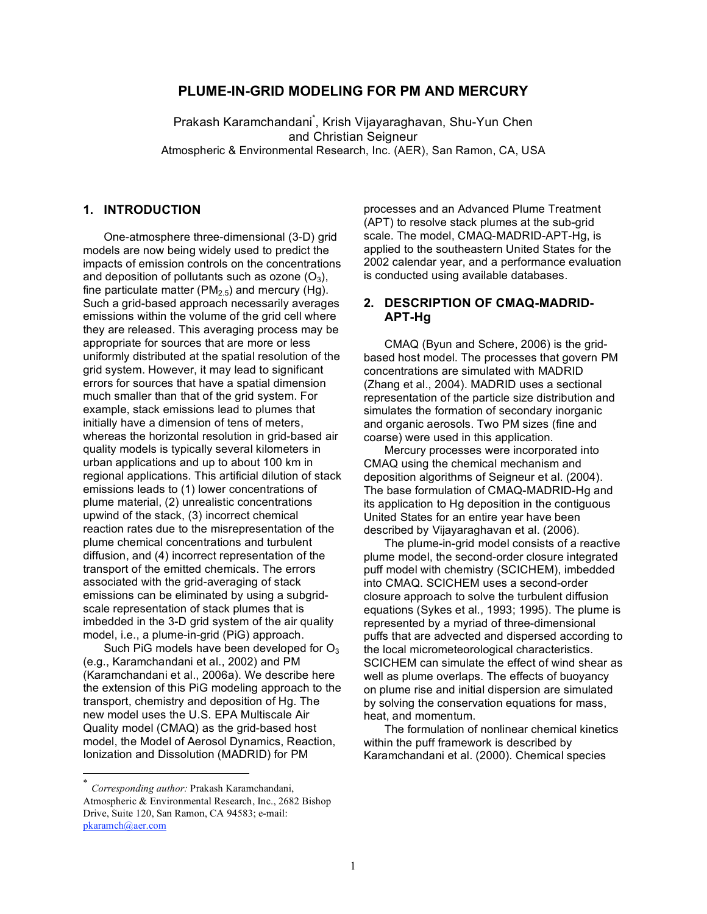### **PLUME-IN-GRID MODELING FOR PM AND MERCURY**

Prakash Karamchandani<sup>\*</sup>, Krish Vijayaraghavan, Shu-Yun Chen and Christian Seigneur Atmospheric & Environmental Research, Inc. (AER), San Ramon, CA, USA

# **1. INTRODUCTION**

One-atmosphere three-dimensional (3-D) grid models are now being widely used to predict the impacts of emission controls on the concentrations and deposition of pollutants such as ozone  $(O_3)$ , fine particulate matter ( $PM<sub>2.5</sub>$ ) and mercury (Hg). Such a grid-based approach necessarily averages emissions within the volume of the grid cell where they are released. This averaging process may be appropriate for sources that are more or less uniformly distributed at the spatial resolution of the grid system. However, it may lead to significant errors for sources that have a spatial dimension much smaller than that of the grid system. For example, stack emissions lead to plumes that initially have a dimension of tens of meters, whereas the horizontal resolution in grid-based air quality models is typically several kilometers in urban applications and up to about 100 km in regional applications. This artificial dilution of stack emissions leads to (1) lower concentrations of plume material, (2) unrealistic concentrations upwind of the stack, (3) incorrect chemical reaction rates due to the misrepresentation of the plume chemical concentrations and turbulent diffusion, and (4) incorrect representation of the transport of the emitted chemicals. The errors associated with the grid-averaging of stack emissions can be eliminated by using a subgridscale representation of stack plumes that is imbedded in the 3-D grid system of the air quality model, i.e., a plume-in-grid (PiG) approach.

Such PiG models have been developed for  $O_3$ (e.g., Karamchandani et al., 2002) and PM (Karamchandani et al., 2006a). We describe here the extension of this PiG modeling approach to the transport, chemistry and deposition of Hg. The new model uses the U.S. EPA Multiscale Air Quality model (CMAQ) as the grid-based host model, the Model of Aerosol Dynamics, Reaction, Ionization and Dissolution (MADRID) for PM

 \* *Corresponding author:* Prakash Karamchandani, Atmospheric & Environmental Research, Inc., 2682 Bishop Drive, Suite 120, San Ramon, CA 94583; e-mail: pkaramch@aer.com

processes and an Advanced Plume Treatment (APT) to resolve stack plumes at the sub-grid scale. The model, CMAQ-MADRID-APT-Hg, is applied to the southeastern United States for the 2002 calendar year, and a performance evaluation is conducted using available databases.

#### **2. DESCRIPTION OF CMAQ-MADRID-APT-Hg**

CMAQ (Byun and Schere, 2006) is the gridbased host model. The processes that govern PM concentrations are simulated with MADRID (Zhang et al., 2004). MADRID uses a sectional representation of the particle size distribution and simulates the formation of secondary inorganic and organic aerosols. Two PM sizes (fine and coarse) were used in this application.

Mercury processes were incorporated into CMAQ using the chemical mechanism and deposition algorithms of Seigneur et al. (2004). The base formulation of CMAQ-MADRID-Hg and its application to Hg deposition in the contiguous United States for an entire year have been described by Vijayaraghavan et al. (2006).

The plume-in-grid model consists of a reactive plume model, the second-order closure integrated puff model with chemistry (SCICHEM), imbedded into CMAQ. SCICHEM uses a second-order closure approach to solve the turbulent diffusion equations (Sykes et al., 1993; 1995). The plume is represented by a myriad of three-dimensional puffs that are advected and dispersed according to the local micrometeorological characteristics. SCICHEM can simulate the effect of wind shear as well as plume overlaps. The effects of buoyancy on plume rise and initial dispersion are simulated by solving the conservation equations for mass, heat, and momentum.

The formulation of nonlinear chemical kinetics within the puff framework is described by Karamchandani et al. (2000). Chemical species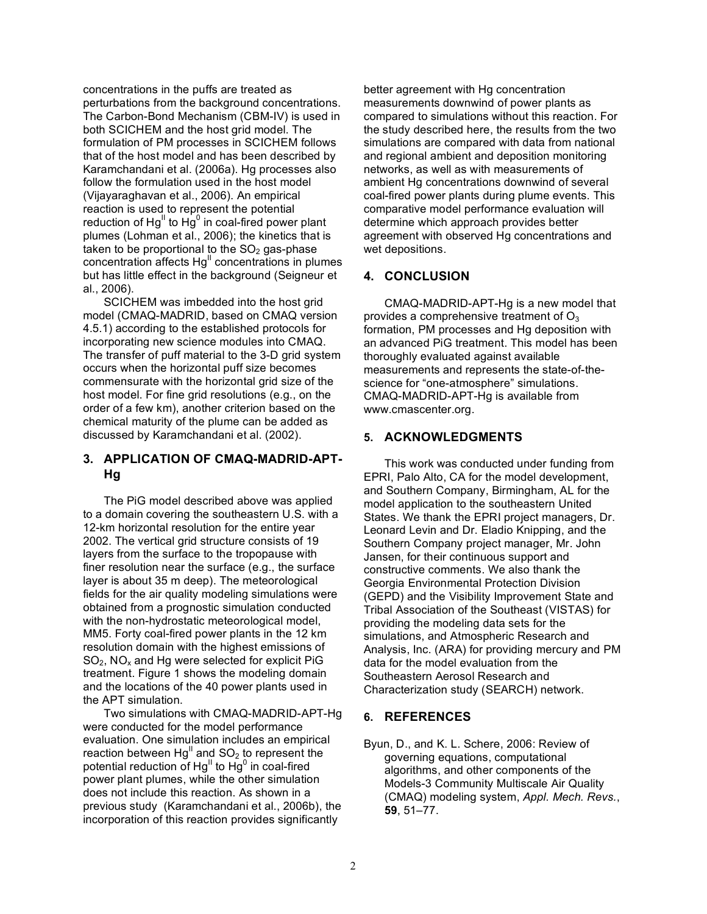concentrations in the puffs are treated as perturbations from the background concentrations. The Carbon-Bond Mechanism (CBM-IV) is used in both SCICHEM and the host grid model. The formulation of PM processes in SCICHEM follows that of the host model and has been described by Karamchandani et al. (2006a). Hg processes also follow the formulation used in the host model (Vijayaraghavan et al., 2006). An empirical reaction is used to represent the potential reduction of Hg<sup>II</sup> to Hg<sup>0</sup> in coal-fired power plant plumes (Lohman et al., 2006); the kinetics that is taken to be proportional to the  $SO<sub>2</sub>$  gas-phase  $concentration$  affects  $Hg<sup>II</sup>$  concentrations in plumes but has little effect in the background (Seigneur et al., 2006).

SCICHEM was imbedded into the host grid model (CMAQ-MADRID, based on CMAQ version 4.5.1) according to the established protocols for incorporating new science modules into CMAQ. The transfer of puff material to the 3-D grid system occurs when the horizontal puff size becomes commensurate with the horizontal grid size of the host model. For fine grid resolutions (e.g., on the order of a few km), another criterion based on the chemical maturity of the plume can be added as discussed by Karamchandani et al. (2002).

### **3. APPLICATION OF CMAQ-MADRID-APT-Hg**

The PiG model described above was applied to a domain covering the southeastern U.S. with a 12-km horizontal resolution for the entire year 2002. The vertical grid structure consists of 19 layers from the surface to the tropopause with finer resolution near the surface (e.g., the surface layer is about 35 m deep). The meteorological fields for the air quality modeling simulations were obtained from a prognostic simulation conducted with the non-hydrostatic meteorological model, MM5. Forty coal-fired power plants in the 12 km resolution domain with the highest emissions of  $SO<sub>2</sub>$ , NO<sub>x</sub> and Hg were selected for explicit PiG treatment. Figure 1 shows the modeling domain and the locations of the 40 power plants used in the APT simulation.

Two simulations with CMAQ-MADRID-APT-Hg were conducted for the model performance evaluation. One simulation includes an empirical reaction between Hg<sup>II</sup> and SO<sub>2</sub> to represent the potential reduction of Hg $^{\text{\tiny{II}}}$  to Hg $^{\text{\tiny{0}}}$  in coal-fired power plant plumes, while the other simulation does not include this reaction. As shown in a previous study (Karamchandani et al., 2006b), the incorporation of this reaction provides significantly

better agreement with Hg concentration measurements downwind of power plants as compared to simulations without this reaction. For the study described here, the results from the two simulations are compared with data from national and regional ambient and deposition monitoring networks, as well as with measurements of ambient Hg concentrations downwind of several coal-fired power plants during plume events. This comparative model performance evaluation will determine which approach provides better agreement with observed Hg concentrations and wet depositions.

# **4. CONCLUSION**

CMAQ-MADRID-APT-Hg is a new model that provides a comprehensive treatment of  $O_3$ formation, PM processes and Hg deposition with an advanced PiG treatment. This model has been thoroughly evaluated against available measurements and represents the state-of-thescience for "one-atmosphere" simulations. CMAQ-MADRID-APT-Hg is available from www.cmascenter.org.

### **5. ACKNOWLEDGMENTS**

This work was conducted under funding from EPRI, Palo Alto, CA for the model development, and Southern Company, Birmingham, AL for the model application to the southeastern United States. We thank the EPRI project managers, Dr. Leonard Levin and Dr. Eladio Knipping, and the Southern Company project manager, Mr. John Jansen, for their continuous support and constructive comments. We also thank the Georgia Environmental Protection Division (GEPD) and the Visibility Improvement State and Tribal Association of the Southeast (VISTAS) for providing the modeling data sets for the simulations, and Atmospheric Research and Analysis, Inc. (ARA) for providing mercury and PM data for the model evaluation from the Southeastern Aerosol Research and Characterization study (SEARCH) network.

# **6. REFERENCES**

Byun, D., and K. L. Schere, 2006: Review of governing equations, computational algorithms, and other components of the Models-3 Community Multiscale Air Quality (CMAQ) modeling system, *Appl. Mech. Revs.*, **59**, 51–77.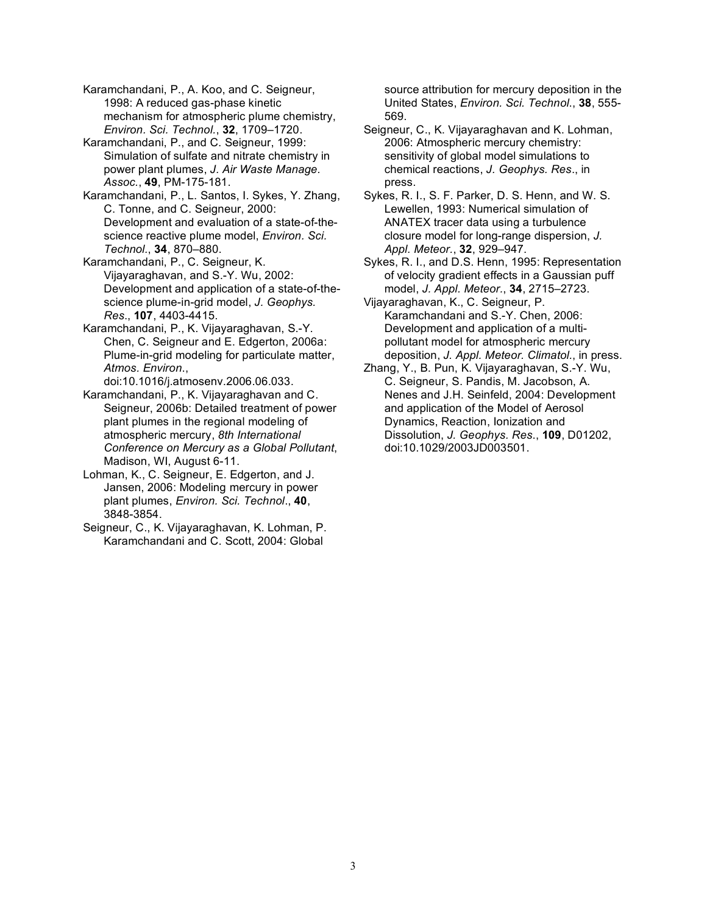Karamchandani, P., A. Koo, and C. Seigneur, 1998: A reduced gas-phase kinetic mechanism for atmospheric plume chemistry, *Environ. Sci. Technol.*, **32**, 1709–1720.

Karamchandani, P., and C. Seigneur, 1999: Simulation of sulfate and nitrate chemistry in power plant plumes, *J. Air Waste Manage. Assoc.*, **49**, PM-175-181.

Karamchandani, P., L. Santos, I. Sykes, Y. Zhang, C. Tonne, and C. Seigneur, 2000: Development and evaluation of a state-of-thescience reactive plume model, *Environ. Sci. Technol.*, **34**, 870–880.

Karamchandani, P., C. Seigneur, K. Vijayaraghavan, and S.-Y. Wu, 2002: Development and application of a state-of-thescience plume-in-grid model, *J. Geophys. Res*., **107**, 4403-4415.

Karamchandani, P., K. Vijayaraghavan, S.-Y. Chen, C. Seigneur and E. Edgerton, 2006a: Plume-in-grid modeling for particulate matter, *Atmos. Environ*.,

doi:10.1016/j.atmosenv.2006.06.033.

Karamchandani, P., K. Vijayaraghavan and C. Seigneur, 2006b: Detailed treatment of power plant plumes in the regional modeling of atmospheric mercury, *8th International Conference on Mercury as a Global Pollutant*, Madison, WI, August 6-11.

Lohman, K., C. Seigneur, E. Edgerton, and J. Jansen, 2006: Modeling mercury in power plant plumes, *Environ. Sci. Technol*., **40**, 3848-3854.

Seigneur, C., K. Vijayaraghavan, K. Lohman, P. Karamchandani and C. Scott, 2004: Global

source attribution for mercury deposition in the United States, *Environ. Sci. Technol*., **38**, 555- 569.

Seigneur, C., K. Vijayaraghavan and K. Lohman, 2006: Atmospheric mercury chemistry: sensitivity of global model simulations to chemical reactions, *J. Geophys. Res*., in press.

Sykes, R. I., S. F. Parker, D. S. Henn, and W. S. Lewellen, 1993: Numerical simulation of ANATEX tracer data using a turbulence closure model for long-range dispersion, *J. Appl. Meteor.*, **32**, 929–947.

Sykes, R. I., and D.S. Henn, 1995: Representation of velocity gradient effects in a Gaussian puff model, *J. Appl. Meteor.*, **34**, 2715–2723.

Vijayaraghavan, K., C. Seigneur, P. Karamchandani and S.-Y. Chen, 2006: Development and application of a multipollutant model for atmospheric mercury deposition, *J. Appl. Meteor. Climatol.*, in press.

Zhang, Y., B. Pun, K. Vijayaraghavan, S.-Y. Wu, C. Seigneur, S. Pandis, M. Jacobson, A. Nenes and J.H. Seinfeld, 2004: Development and application of the Model of Aerosol Dynamics, Reaction, Ionization and Dissolution, *J. Geophys. Res*., **109**, D01202, doi:10.1029/2003JD003501.